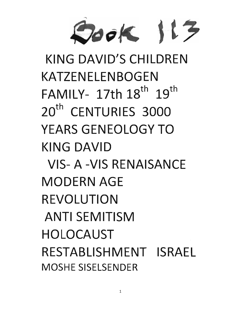

KING DAVID'S CHilDREN KATZENElENBOGEN FAMILY- 17th  $18^{th}$   $19^{th}$ 20<sup>th</sup> CENTURIES 3000 YEARS GENEOlOGY TO KING DAVID VIS- A -VIS RENAISANCE MODERN AGE REVOLUTION ANTI SEMITISM HOLOCAUST RESTABllSHMENT ISRAEL MOSHE SISELSENDER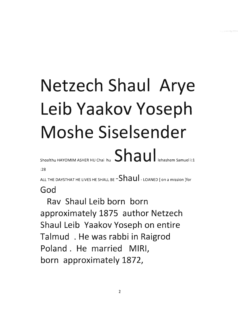## **Netzech Shaul Arye Leib Yaakov Yoseph Moshe Siselsender**  Shoalthu HAYOMIM ASHER HU Chai hu  $S$   $\overline{\text{had}}$  a u  $\overline{\text{had}}$  lehashem Samuel i:1

:28

ALL THE DAYSTHAT HE LIVES HE SHALL BE  $\text{-Shau}$  - LOANED [ on a mission ]for **God** 

**Rav Shaul Leib born born approximately 1875 author Netzech Shaul Leib Yaakov Yoseph on entire Talmud . He was rabbi in Raigrod Poland. He married MIRI, born approximately 1872,**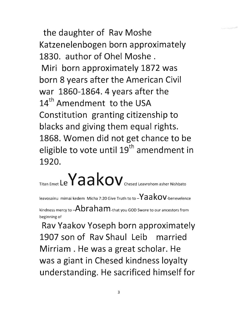**the daughter of Rav Moshe Katzenelenbogen born approximately 1830. author of Ohel Moshe . Miri born approximately 1872 was born 8 years after the American Civil war 1860-1864.4 years after the 14th Amendment to the USA Constitution granting citizenship to blacks and giving them equal rights. 1868. Women did not get chance to be eligible to vote** until 19th **amendment in 1920.** 

Titan Emet  $Le$  a a kov  $\alpha$  chesed Leavrohom asher Nishbato

leavosainu mimai kedem Micha 7:20 Give Truth to to **-Va a** kOV-benevelence

kindness mercy to  $-Abraham$ -that you GOD Swore to our ancestors from beginning of

**Rav Vaakov Voseph born approximately 1907 son of Rav Shaul Leib married Mirriam . He was a great scholar. He was a giant in Chesed kindness loyalty understanding. He sacrificed himself for**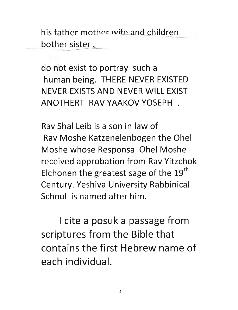his father mother wife and children bother sister.

do not exist to portray such a human being. THERE NEVER EXISTED NEVER EXISTS AND NEVER WILL EXIST ANOTHERT RAV YAAKOV YOSEPH .

Rav Shal Leib is a son in law of Rav Moshe Katzenelenbogen the Ohel Moshe whose Responsa Ohel Moshe received approbation from Rav Yitzchok Elchonen the greatest sage of the  $19<sup>th</sup>$ Century. Yeshiva University Rabbinical School is named after him.

I cite a posuk a passage from scriptures from the Bible that contains the first Hebrew name of each individual.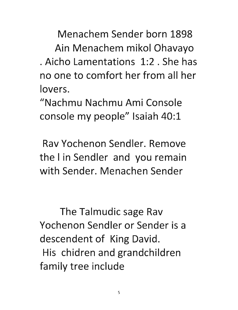Menachem Sender born 1898 Ain Menachem mikol Ohavayo . Aicho Lamentations 1:2. She has no one to comfort her from all her lovers.

"Nachmu Nachmu Ami Console console my people" Isaiah 40:1

Rav Yochenon Sendler. Remove the I in Sendler and you remain with Sender. Menachen Sender

The Talmudic sage Rav Yochenon Sendler or Sender is a descendent of King David. His chidren and grandchildren family tree include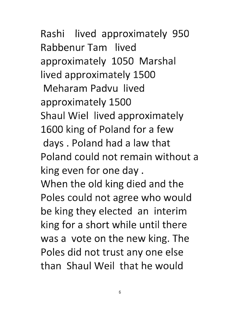Rashi lived approximately 950 Rabbenur Tam lived approximately 1050 Marshal lived approximately 1500 Meharam Padvu lived approximately 1500 Shaul Wiel lived approximately 1600 king of Poland for a few days. Poland had a law that Poland could not remain without a king even for one day. When the old king died and the Poles could not agree who would be king they elected an interim king for a short while until there was a vote on the new king. The Poles did not trust any one else than Shaul Weil that he would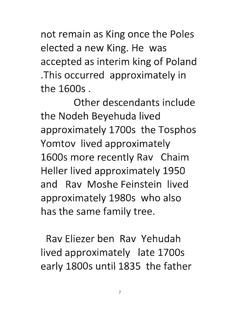not remain as King once the Poles elected a new King. He was accepted as interim king of Poland .This occurred approximately in the 16005 .

Other descendants include the Nodeh 8eyehuda lived approximately 17005 the Tosphos Yomtov lived approximately 16005 more recently Rav Chaim Heller lived approximately 1950 and Rav Moshe Feinstein lived approximately 19805 who also has the same family tree.

Rav Eliezer ben Rav Yehudah lived approximately late 1700s early 18005 until 1835 the father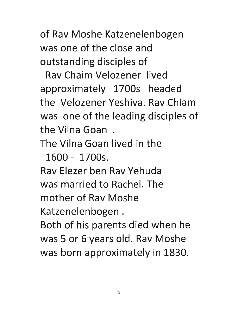of Rav Moshe Katzenelenbogen was one of the close and outstanding disciples of

Rav Chaim Velozener lived approximately 1700s headed the Velozener Yeshiva. Rav Chiam was one of the leading disciples of the Vilna Goan .

The Vilna Goan lived in the

1600 - 1700s.

Rav Elezer ben Rav Yehuda was married to Rachel. The

mother of Rav Moshe

Katzenelenbogen .

Both of his parents died when he was 5 or 6 years old. Rav Moshe was born approximately in 1830.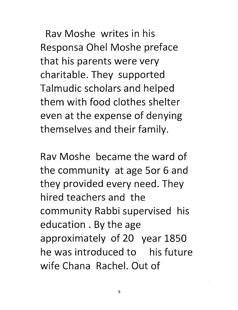Rav Moshe writes in his Responsa Ohel Moshe preface that his parents were very charitable. They supported Talmudic scholars and helped them with food clothes shelter even at the expense of denying themselves and their family.

Rav Moshe became the ward of the community at age 50r 6 and they provided every need. They hired teachers and the community Rabbi supervised his education. By the age approximately of 20 year 1850 he was introduced to his future wife Chana Rachel. Out of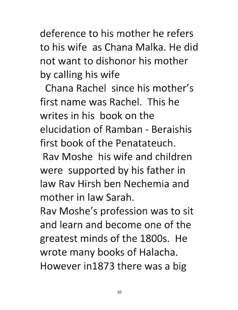deference to his mother he refers to his wife as Chana Maika. He did not want to dishonor his mother by calling his wife

Chana Rachel since his mother's first name was Rachel. This he writes in his book on the elucidation of Ramban - Beraishis first book of the Penatateuch.

Rav Moshe his wife and children were supported by his father in law Rav Hirsh ben Nechemia and mother in law Sarah.

Rav Moshe's profession was to sit and learn and become one of the greatest minds of the 1800s. He wrote many books of Halacha. However in1873 there was a big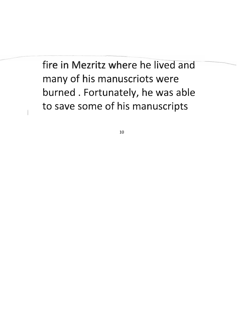## fire in Mezritz where he lived an many of his manuscriots were burned. Fortunately, he was able to save some of his manuscripts

---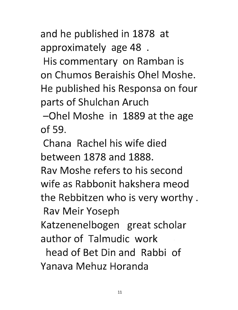and he published in 1878 at approximately age 48 .

His commentary on Ramban is on Chumos Beraishis Ohel Moshe. He published his Responsa on four parts of Shulchan Aruch

-Ohel Moshe in 1889 at the age of 59.

Chana Rachel his wife died between 1878 and 1888.

Rav Moshe refers to his second wife as Rabbonit hakshera meod the Rebbitzen who is very worthy.

Rav Meir Yoseph

Katzenenelbogen great scholar author of Talmudic work

head of Bet Din and Rabbi of Yanava Mehuz Horanda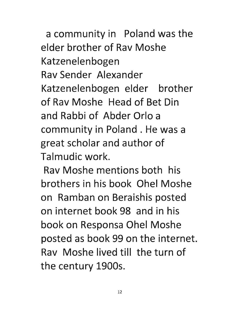a community in Poland was the elder brother of Rav Moshe Katzenelenbogen Rav Sender Alexander Katzenelenbogen elder brother of Rav Moshe Head of Bet Din and Rabbi of Abder Orlo a community in Poland. He was a great scholar and author of Talmudic work.

Rav Moshe mentions both his brothers in his book Ohel Moshe on Ramban on Beraishis posted on internet book 98 and in his book on Responsa Ohel Moshe posted as book 99 on the internet. Rav Moshe lived till the turn of the century 1900s.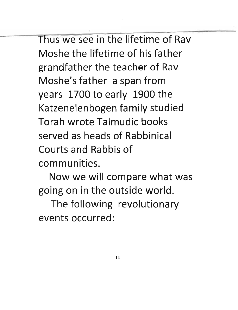Thus we see in the lifetime of Rav Moshe the lifetime of his father grandfather the teacher of Rav Moshe's father a span from years 1700 to early 1900 the Katzenelenbogen family studied Torah wrote Talmudic books served as heads of Rabbinical Courts and Rabbis of communities.

Now we will compare what was going on in the outside world.

The following revolutionary events occurred: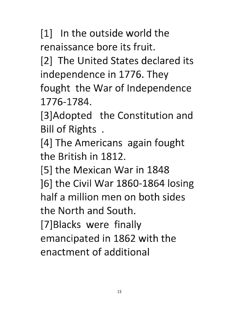[1] In the outside world the renaissance bore its fruit.

[2] The United States declared its independence in 1776. They fought the War of Independence 1776-1784.

[3]Adopted the Constitution and Bill of Rights .

[4] The Americans again fought the British in 1812.

[5] the Mexican War in 1848 ]6] the Civil War 1860-1864 losing half a million men on both sides the North and South. [7]Blacks were finally emancipated in 1862 with the

enactment of additional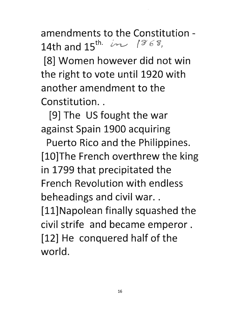amendments to the Constitution - 14th and  $15^{\text{th}}$  in 1868,

[8] Women however did not win the right to vote until 1920 with another amendment to the Constitution..

[9] The US fought the war against Spain 1900 acquiring

Puerto Rico and the Philippines. [10]The French overthrew the king in 1799 that precipitated the French Revolution with endless beheadings and civil war.. [ll]Napolean finally squashed the civil strife and became emperor. [12] He conquered half of the world.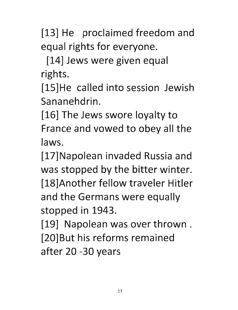[13] He proclaimed freedom and equal rights for everyone.

[14] Jews were given equal rights.

[15]He called into session Jewish Sananehdrin.

[16] The Jews swore loyalty to France and vowed to obey all the laws.

[17]Napolean invaded Russia and was stopped by the bitter winter. [18] Another fellow traveler Hitler and the Germans were equally stopped in 1943.

[19] Napolean was over thrown. [20]But his reforms remained after 20 -30 years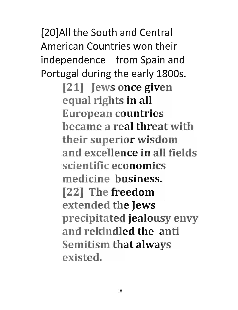[20]AII the South and Central American Countries won their independence from Spain and Portugal during the early 18005. [21] Jews once given equal rights in all European countries became a real threat with their superior wisdom and excellence in all fields scientific economics medicine business. [22] The freedom extended the Jews precipitated jealousy envy and rekindled the anti Semitism that always existed.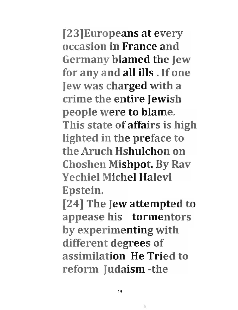[23]Europeans at every occasion in France and Germany blamed the Jew for any and all ills. If one Jew was charged with a crime the entire Jewish people were to blame. This state of affairs is high lighted in the preface to the Aruch Hshulchon on Choshen Mishpot. By Rav Yechiel Michel Halevi Epstein.

 $[24]$  The Jew attempted to appease his tormentors by experimenting with different degrees of assimilation He Tried to reform Judaism -the

b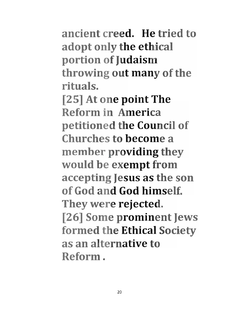ancient creed. He tried to adopt only the ethical portion of Judaism throwing out many of the rituals.

[25] At one point The Reform in America petitioned the Council of Churches to become a member providing they would be exempt from accepting Jesus as the son of God and God himself. They were rejected. [26] Some prominent Jews formed the Ethical Society as an alternative to Reform.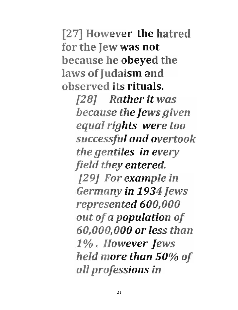[27] However the hatred for the Jew was not because he obeyed the laws of Judaism and observed its rituals.

> [28J *Rather it was because the Jews given equal rights were too successful and overtook the gentiles* in *every field they entered.*  [29J *For example in Germany* in *1934Jews represented 600,000 out of a population of 60,000,000 or less than 1%. However Jews held more than 50% of all professions* in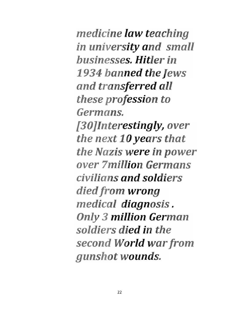*medicine law teaching in university and small businesses. Hitler in 1934 banned the Jews and transferred all these profession to Germans. [30]lnterestingly, over the next 10 years that the Nazis were in power over 7million Germans civilians and soldiers died from wrong medical diagnosis. Only* 3 *million German soldiers died* in *the second World war from gunshot wounds.*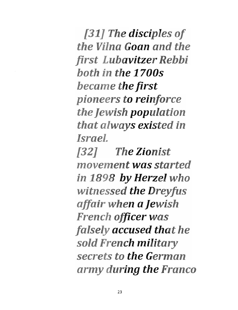[31] The disciples of *the Vilna Goan and the first Lubavitzer Rebbi both in the 1700s became the first pioneers to reinforce the Jewish population that always existed in Israel.*  [32J *The Zionist movement was started in* 1898 *by Herzel who witnessed the Dreyfus affair when a Jewish French officer was falsely accused that he sold French military secrets to the German army during the Franco*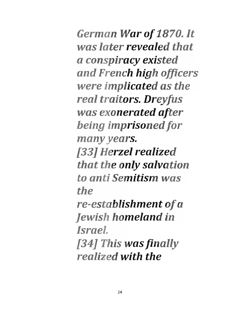*German War of 1870. It was later revealed that a conspiracy existed and French high officers were implicated as the real traitors. Dreyfus was exonerated after being imprisoned for many years. [33] Herzel realized that the only salvation to anti Semitism was the re-establishment of a Jewish homeland in Israel. [34] This was finally realized with the*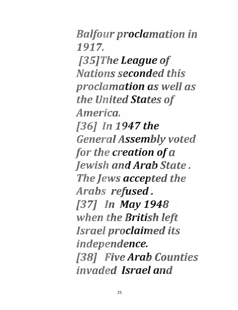*Balfour proclamation in*  1917. *[35JThe League of Nations seconded this proclamation as well as the United States of America. [36J In* 1947 *the General Assembly voted for the creation of a Jewish and Arab State. The Jews accepted the Arabs refused. [37J In May 1948 when the British left Israel proclaimed its independence. [38J Five Arab Counties invaded Israel and*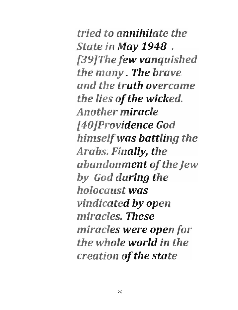*tried to annihilate the State* in *May* 1948 . *[39JThe few vanquished the many. The brave and the truth overcame the lies of the wicked. Another miracle [40JProvidence God himselfwas battling the Arabs. Finally, the abandonment of the Jew by God during the holocaust was vindicated by open miracles. These miracles were open for the whole world in the creation of the state*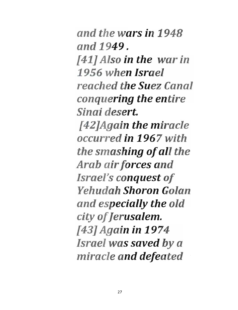*and the wars in 1948 and* 1949. *[41J Also in the war in 1956 when Israel reached the Suez Canal conquering the entire Sinai desert. [42JAgain the miracle occurred in* 1967 *with the smashing of all the*  Arab air forces and *Israel's conquest of Yehudah Shoron Golan and especially the old city of Jerusalem. [43J Again in 1974 Israel was saved* by *a miracle and defeated*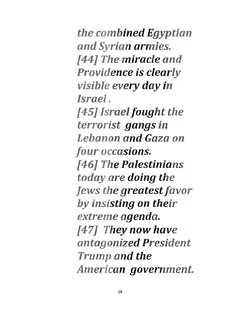*the combined Egyptian and Syrian armies.*  [44J *The miracle and Providence* is *clearly visible every day in Israel.*  [45J *Israel fought the terrorist gangs in Lebanon and Gaza on four occasions.*  [46J *The Palestinians today are doing the Jews the greatest favor by insisting on their extreme agenda.*  [47J *They now have antagonized President Trump and the American government.*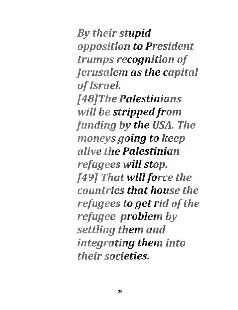*By their stupid opposition to President trumps recognition of Jerusalem as the capital of Israel. [48JThe Palestinians will be stripped from funding by the USA. The moneys going to keep alive the Palestinian refugees will stop. [49J That willforce the countries that house the refugees to get rid of the refugee problem by settling them and integrating them into their societies.*